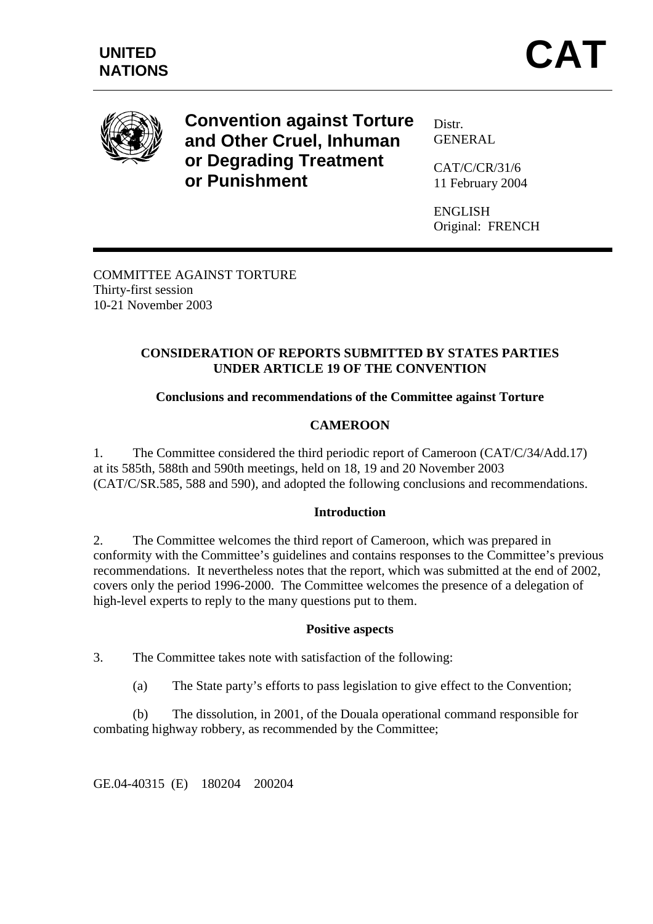

**Convention against Torture and Other Cruel, Inhuman or Degrading Treatment or Punishment** 

Distr. **GENERAL** 

CAT/C/CR/31/6 11 February 2004

ENGLISH Original: FRENCH

COMMITTEE AGAINST TORTURE Thirty-first session 10-21 November 2003

### **CONSIDERATION OF REPORTS SUBMITTED BY STATES PARTIES UNDER ARTICLE 19 OF THE CONVENTION**

# **Conclusions and recommendations of the Committee against Torture**

# **CAMEROON**

1. The Committee considered the third periodic report of Cameroon (CAT/C/34/Add.17) at its 585th, 588th and 590th meetings, held on 18, 19 and 20 November 2003 (CAT/C/SR.585, 588 and 590), and adopted the following conclusions and recommendations.

### **Introduction**

2. The Committee welcomes the third report of Cameroon, which was prepared in conformity with the Committee's guidelines and contains responses to the Committee's previous recommendations. It nevertheless notes that the report, which was submitted at the end of 2002, covers only the period 1996-2000. The Committee welcomes the presence of a delegation of high-level experts to reply to the many questions put to them.

### **Positive aspects**

3. The Committee takes note with satisfaction of the following:

(a) The State party's efforts to pass legislation to give effect to the Convention;

 (b) The dissolution, in 2001, of the Douala operational command responsible for combating highway robbery, as recommended by the Committee;

GE.04-40315 (E) 180204 200204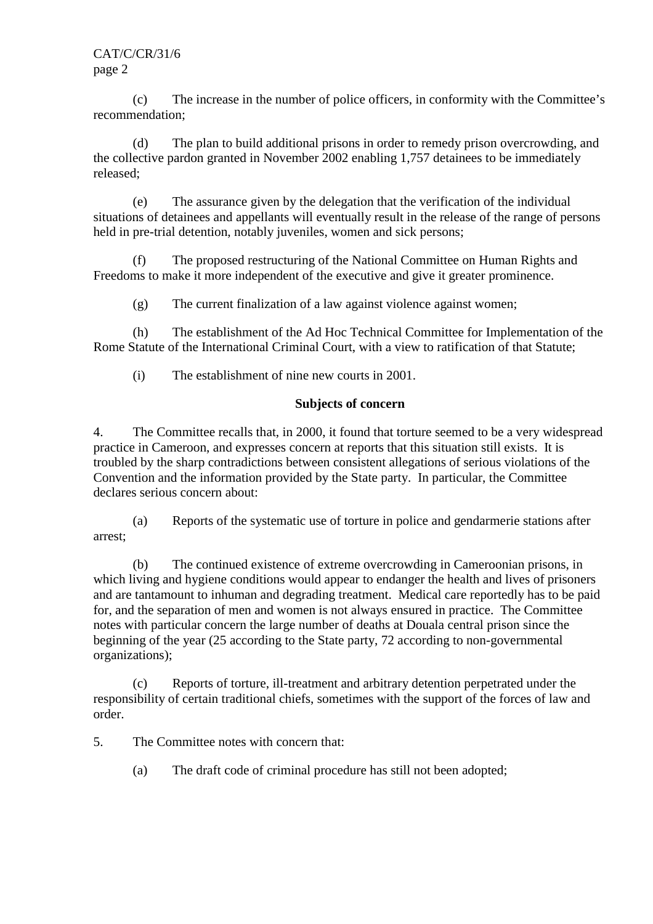CAT/C/CR/31/6 page 2

 (c) The increase in the number of police officers, in conformity with the Committee's recommendation;

 (d) The plan to build additional prisons in order to remedy prison overcrowding, and the collective pardon granted in November 2002 enabling 1,757 detainees to be immediately released;

 (e) The assurance given by the delegation that the verification of the individual situations of detainees and appellants will eventually result in the release of the range of persons held in pre-trial detention, notably juveniles, women and sick persons;

 (f) The proposed restructuring of the National Committee on Human Rights and Freedoms to make it more independent of the executive and give it greater prominence.

(g) The current finalization of a law against violence against women;

 (h) The establishment of the Ad Hoc Technical Committee for Implementation of the Rome Statute of the International Criminal Court, with a view to ratification of that Statute;

(i) The establishment of nine new courts in 2001.

### **Subjects of concern**

4. The Committee recalls that, in 2000, it found that torture seemed to be a very widespread practice in Cameroon, and expresses concern at reports that this situation still exists. It is troubled by the sharp contradictions between consistent allegations of serious violations of the Convention and the information provided by the State party. In particular, the Committee declares serious concern about:

 (a) Reports of the systematic use of torture in police and gendarmerie stations after arrest;

 (b) The continued existence of extreme overcrowding in Cameroonian prisons, in which living and hygiene conditions would appear to endanger the health and lives of prisoners and are tantamount to inhuman and degrading treatment. Medical care reportedly has to be paid for, and the separation of men and women is not always ensured in practice. The Committee notes with particular concern the large number of deaths at Douala central prison since the beginning of the year (25 according to the State party, 72 according to non-governmental organizations);

 (c) Reports of torture, ill-treatment and arbitrary detention perpetrated under the responsibility of certain traditional chiefs, sometimes with the support of the forces of law and order.

5. The Committee notes with concern that:

(a) The draft code of criminal procedure has still not been adopted;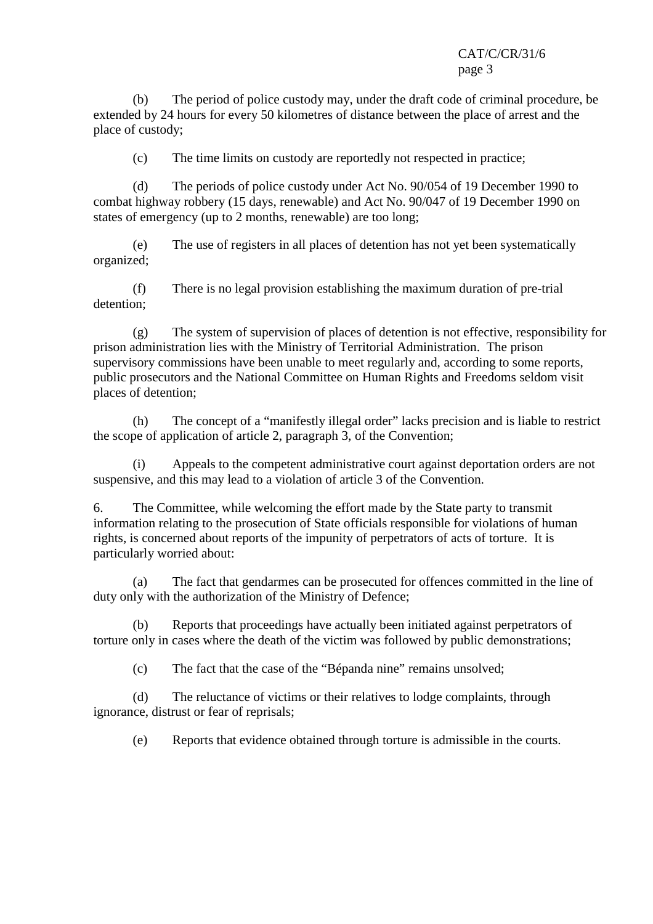## CAT/C/CR/31/6 page 3

 (b) The period of police custody may, under the draft code of criminal procedure, be extended by 24 hours for every 50 kilometres of distance between the place of arrest and the place of custody;

(c) The time limits on custody are reportedly not respected in practice;

 (d) The periods of police custody under Act No. 90/054 of 19 December 1990 to combat highway robbery (15 days, renewable) and Act No. 90/047 of 19 December 1990 on states of emergency (up to 2 months, renewable) are too long;

 (e) The use of registers in all places of detention has not yet been systematically organized;

 (f) There is no legal provision establishing the maximum duration of pre-trial detention;

 (g) The system of supervision of places of detention is not effective, responsibility for prison administration lies with the Ministry of Territorial Administration. The prison supervisory commissions have been unable to meet regularly and, according to some reports, public prosecutors and the National Committee on Human Rights and Freedoms seldom visit places of detention;

 (h) The concept of a "manifestly illegal order" lacks precision and is liable to restrict the scope of application of article 2, paragraph 3, of the Convention;

 (i) Appeals to the competent administrative court against deportation orders are not suspensive, and this may lead to a violation of article 3 of the Convention.

6. The Committee, while welcoming the effort made by the State party to transmit information relating to the prosecution of State officials responsible for violations of human rights, is concerned about reports of the impunity of perpetrators of acts of torture. It is particularly worried about:

 (a) The fact that gendarmes can be prosecuted for offences committed in the line of duty only with the authorization of the Ministry of Defence;

 (b) Reports that proceedings have actually been initiated against perpetrators of torture only in cases where the death of the victim was followed by public demonstrations;

(c) The fact that the case of the "Bépanda nine" remains unsolved;

 (d) The reluctance of victims or their relatives to lodge complaints, through ignorance, distrust or fear of reprisals;

(e) Reports that evidence obtained through torture is admissible in the courts.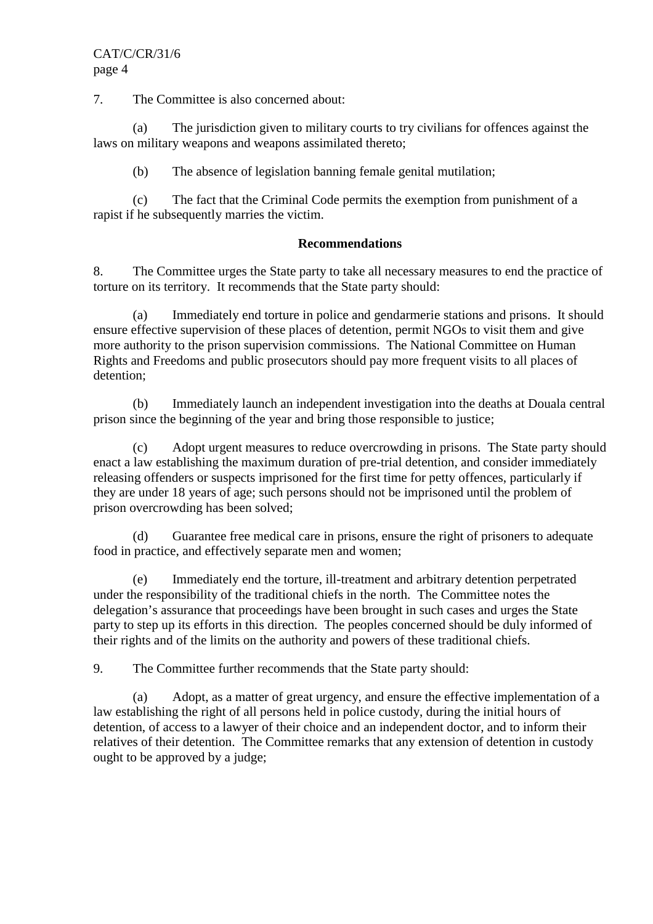## CAT/C/CR/31/6 page 4

7. The Committee is also concerned about:

 (a) The jurisdiction given to military courts to try civilians for offences against the laws on military weapons and weapons assimilated thereto;

(b) The absence of legislation banning female genital mutilation;

 (c) The fact that the Criminal Code permits the exemption from punishment of a rapist if he subsequently marries the victim.

#### **Recommendations**

8. The Committee urges the State party to take all necessary measures to end the practice of torture on its territory. It recommends that the State party should:

 (a) Immediately end torture in police and gendarmerie stations and prisons. It should ensure effective supervision of these places of detention, permit NGOs to visit them and give more authority to the prison supervision commissions. The National Committee on Human Rights and Freedoms and public prosecutors should pay more frequent visits to all places of detention;

 (b) Immediately launch an independent investigation into the deaths at Douala central prison since the beginning of the year and bring those responsible to justice;

 (c) Adopt urgent measures to reduce overcrowding in prisons. The State party should enact a law establishing the maximum duration of pre-trial detention, and consider immediately releasing offenders or suspects imprisoned for the first time for petty offences, particularly if they are under 18 years of age; such persons should not be imprisoned until the problem of prison overcrowding has been solved;

 (d) Guarantee free medical care in prisons, ensure the right of prisoners to adequate food in practice, and effectively separate men and women;

 (e) Immediately end the torture, ill-treatment and arbitrary detention perpetrated under the responsibility of the traditional chiefs in the north. The Committee notes the delegation's assurance that proceedings have been brought in such cases and urges the State party to step up its efforts in this direction. The peoples concerned should be duly informed of their rights and of the limits on the authority and powers of these traditional chiefs.

9. The Committee further recommends that the State party should:

 (a) Adopt, as a matter of great urgency, and ensure the effective implementation of a law establishing the right of all persons held in police custody, during the initial hours of detention, of access to a lawyer of their choice and an independent doctor, and to inform their relatives of their detention. The Committee remarks that any extension of detention in custody ought to be approved by a judge;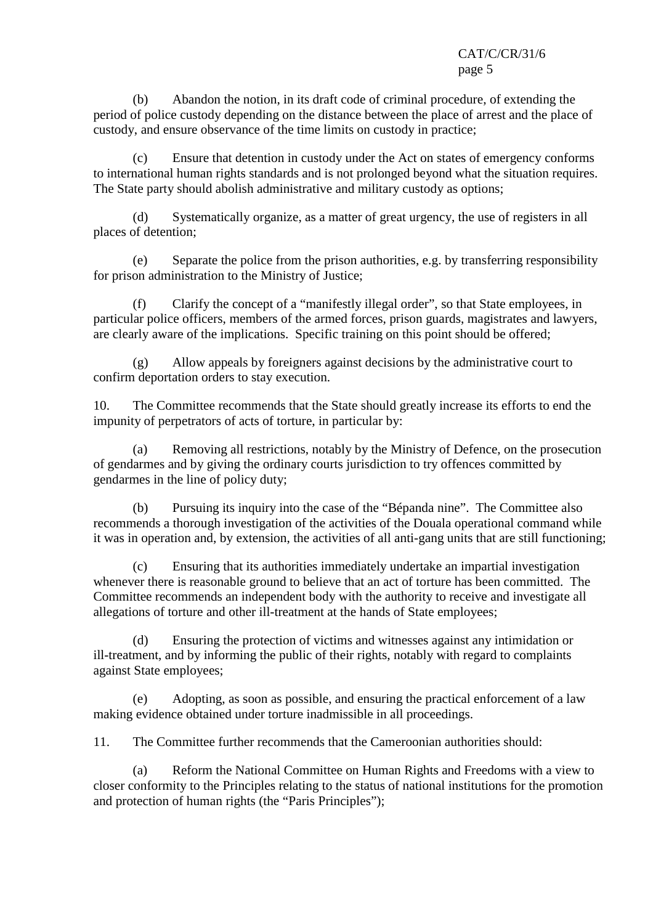(b) Abandon the notion, in its draft code of criminal procedure, of extending the period of police custody depending on the distance between the place of arrest and the place of custody, and ensure observance of the time limits on custody in practice;

 (c) Ensure that detention in custody under the Act on states of emergency conforms to international human rights standards and is not prolonged beyond what the situation requires. The State party should abolish administrative and military custody as options;

 (d) Systematically organize, as a matter of great urgency, the use of registers in all places of detention;

 (e) Separate the police from the prison authorities, e.g. by transferring responsibility for prison administration to the Ministry of Justice;

 (f) Clarify the concept of a "manifestly illegal order", so that State employees, in particular police officers, members of the armed forces, prison guards, magistrates and lawyers, are clearly aware of the implications. Specific training on this point should be offered;

 (g) Allow appeals by foreigners against decisions by the administrative court to confirm deportation orders to stay execution.

10. The Committee recommends that the State should greatly increase its efforts to end the impunity of perpetrators of acts of torture, in particular by:

 (a) Removing all restrictions, notably by the Ministry of Defence, on the prosecution of gendarmes and by giving the ordinary courts jurisdiction to try offences committed by gendarmes in the line of policy duty;

 (b) Pursuing its inquiry into the case of the "Bépanda nine". The Committee also recommends a thorough investigation of the activities of the Douala operational command while it was in operation and, by extension, the activities of all anti-gang units that are still functioning;

 (c) Ensuring that its authorities immediately undertake an impartial investigation whenever there is reasonable ground to believe that an act of torture has been committed. The Committee recommends an independent body with the authority to receive and investigate all allegations of torture and other ill-treatment at the hands of State employees;

 (d) Ensuring the protection of victims and witnesses against any intimidation or ill-treatment, and by informing the public of their rights, notably with regard to complaints against State employees;

 (e) Adopting, as soon as possible, and ensuring the practical enforcement of a law making evidence obtained under torture inadmissible in all proceedings.

11. The Committee further recommends that the Cameroonian authorities should:

 (a) Reform the National Committee on Human Rights and Freedoms with a view to closer conformity to the Principles relating to the status of national institutions for the promotion and protection of human rights (the "Paris Principles");